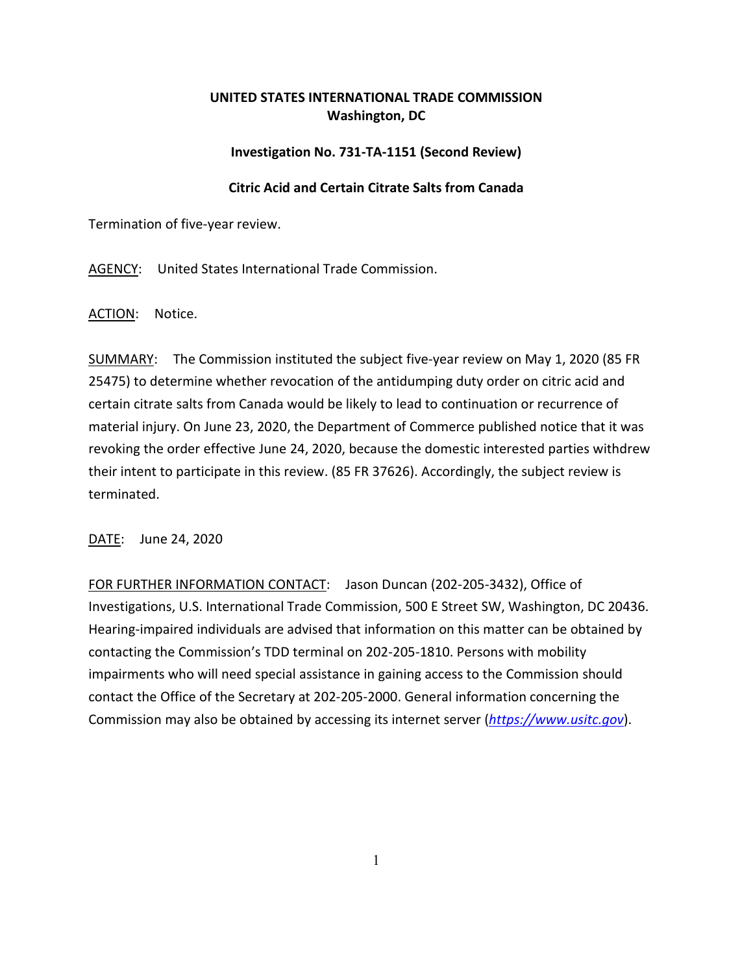## **UNITED STATES INTERNATIONAL TRADE COMMISSION Washington, DC**

## **Investigation No. 731-TA-1151 (Second Review)**

## **Citric Acid and Certain Citrate Salts from Canada**

Termination of five-year review.

AGENCY: United States International Trade Commission.

ACTION: Notice.

SUMMARY: The Commission instituted the subject five-year review on May 1, 2020 (85 FR 25475) to determine whether revocation of the antidumping duty order on citric acid and certain citrate salts from Canada would be likely to lead to continuation or recurrence of material injury. On June 23, 2020, the Department of Commerce published notice that it was revoking the order effective June 24, 2020, because the domestic interested parties withdrew their intent to participate in this review. (85 FR 37626). Accordingly, the subject review is terminated.

DATE: June 24, 2020

FOR FURTHER INFORMATION CONTACT: Jason Duncan (202-205-3432), Office of Investigations, U.S. International Trade Commission, 500 E Street SW, Washington, DC 20436. Hearing-impaired individuals are advised that information on this matter can be obtained by contacting the Commission's TDD terminal on 202-205-1810. Persons with mobility impairments who will need special assistance in gaining access to the Commission should contact the Office of the Secretary at 202-205-2000. General information concerning the Commission may also be obtained by accessing its internet server (*[https://www.usitc.gov](https://www.usitc.gov/)*).